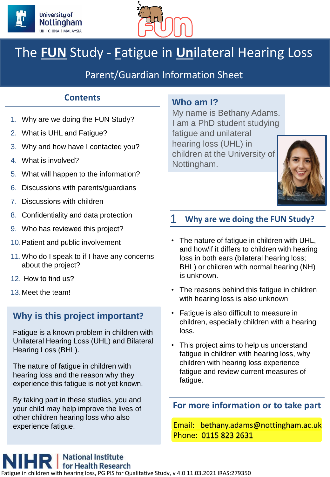



# The **FUN** Study - **F**atigue in **Un**ilateral Hearing Loss

# Parent/Guardian Information Sheet

# **Contents**

- 1. Why are we doing the FUN Study?
- 2. What is UHL and Fatigue?
- 3. Why and how have I contacted you?
- 4. What is involved?
- 5. What will happen to the information?
- 6. Discussions with parents/guardians
- 7. Discussions with children
- 8. Confidentiality and data protection
- 9. Who has reviewed this project?
- 10.Patient and public involvement
- 11.Who do I speak to if I have any concerns about the project?
- 12. How to find us?
- 13.Meet the team!

# **Why is this project important?**

Fatigue is a known problem in children with Unilateral Hearing Loss (UHL) and Bilateral Hearing Loss (BHL).

The nature of fatigue in children with hearing loss and the reason why they experience this fatigue is not yet known.

By taking part in these studies, you and your child may help improve the lives of other children hearing loss who also

# **Who am I?**

My name is Bethany Adams. I am a PhD student studying fatigue and unilateral hearing loss (UHL) in children at the University of Nottingham.



## 1 **Why are we doing the FUN Study?**

- The nature of fatigue in children with UHL, and how/if it differs to children with hearing loss in both ears (bilateral hearing loss; BHL) or children with normal hearing (NH) is unknown.
- The reasons behind this fatigue in children with hearing loss is also unknown
- Fatigue is also difficult to measure in children, especially children with a hearing loss.
- This project aims to help us understand fatigue in children with hearing loss, why children with hearing loss experience fatigue and review current measures of fatigue.

### **For more information or to take part**

experience fatique. The state of the state of the state of the Email: bethany.adams@nottingham.ac.uk Phone: 0115 823 2631

**National Institute** for Health Research I children with hearing loss, PG PIS for Qualitative Study, v 4.0 11.03.2021 IRAS:279350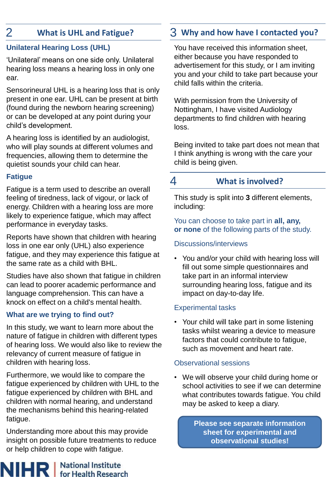# **Unilateral Hearing Loss (UHL)**

'Unilateral' means on one side only. Unilateral hearing loss means a hearing loss in only one ear.

Sensorineural UHL is a hearing loss that is only present in one ear. UHL can be present at birth (found during the newborn hearing screening) or can be developed at any point during your child's development.

A hearing loss is identified by an audiologist, who will play sounds at different volumes and frequencies, allowing them to determine the quietist sounds your child can hear.

# **Fatigue**

NIHF

Fatigue is a term used to describe an overall feeling of tiredness, lack of vigour, or lack of energy. Children with a hearing loss are more likely to experience fatigue, which may affect performance in everyday tasks.

Reports have shown that children with hearing loss in one ear only (UHL) also experience fatigue, and they may experience this fatigue at the same rate as a child with BHL.

Studies have also shown that fatigue in children can lead to poorer academic performance and language comprehension. This can have a knock on effect on a child's mental health.

# **What are we trying to find out?**

In this study, we want to learn more about the nature of fatigue in children with different types of hearing loss. We would also like to review the relevancy of current measure of fatigue in children with hearing loss.

Furthermore, we would like to compare the fatigue experienced by children with UHL to the fatigue experienced by children with BHL and children with normal hearing, and understand the mechanisms behind this hearing-related fatigue.

Understanding more about this may provide insight on possible future treatments to reduce or help children to cope with fatigue.

**National Institute** 

**for Health Research** 

# 2 **What is UHL and Fatigue?** 3 **Why and how have I contacted you?**

You have received this information sheet, either because you have responded to advertisement for this study, or I am inviting you and your child to take part because your child falls within the criteria.

With permission from the University of Nottingham, I have visited Audiology departments to find children with hearing loss.

Being invited to take part does not mean that I think anything is wrong with the care your child is being given.

# 4 **What is involved?**

This study is split into **3** different elements, including:

You can choose to take part in **all, any, or none** of the following parts of the study.

# Discussions/interviews

• You and/or your child with hearing loss will fill out some simple questionnaires and take part in an informal interview surrounding hearing loss, fatigue and its impact on day-to-day life.

# Experimental tasks

• Your child will take part in some listening tasks whilst wearing a device to measure factors that could contribute to fatigue, such as movement and heart rate.

# Observational sessions

• We will observe your child during home or school activities to see if we can determine what contributes towards fatigue. You child may be asked to keep a diary.

> **Please see separate information sheet for experimental and observational studies!**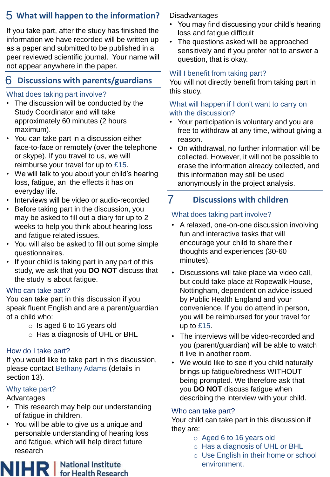# 5 **What will happen to the information?** Disadvantages

If you take part, after the study has finished the information we have recorded will be written up as a paper and submitted to be published in a peer reviewed scientific journal. Your name will not appear anywhere in the paper.

# 6 **Discussions with parents/guardians**

## What does taking part involve?

- The discussion will be conducted by the Study Coordinator and will take approximately 60 minutes (2 hours maximum).
- You can take part in a discussion either face-to-face or remotely (over the telephone or skype). If you travel to us, we will reimburse your travel for up to £15.
- We will talk to you about your child's hearing loss, fatigue, an the effects it has on everyday life.
- Interviews will be video or audio-recorded
- Before taking part in the discussion, you may be asked to fill out a diary for up to 2 weeks to help you think about hearing loss and fatigue related issues.
- You will also be asked to fill out some simple questionnaires.
- If your child is taking part in any part of this study, we ask that you **DO NOT** discuss that the study is about fatigue.

## Who can take part?

You can take part in this discussion if you speak fluent English and are a parent/guardian of a child who:

- o Is aged 6 to 16 years old
- o Has a diagnosis of UHL or BHL

## How do I take part?

If you would like to take part in this discussion, please contact Bethany Adams (details in section 13).

# Why take part?

Advantages

- This research may help our understanding of fatigue in children.
- You will be able to give us a unique and personable understanding of hearing loss and fatigue, which will help direct future research



- You may find discussing your child's hearing loss and fatigue difficult
- The questions asked will be approached sensitively and if you prefer not to answer a question, that is okay.

## Will I benefit from taking part?

You will not directly benefit from taking part in this study.

#### What will happen if I don't want to carry on with the discussion?

- Your participation is voluntary and you are free to withdraw at any time, without giving a reason.
- On withdrawal, no further information will be collected. However, it will not be possible to erase the information already collected, and this information may still be used anonymously in the project analysis.

# 7 **Discussions with children**

# What does taking part involve?

- A relaxed, one-on-one discussion involving fun and interactive tasks that will encourage your child to share their thoughts and experiences (30-60 minutes).
- Discussions will take place via video call, but could take place at Ropewalk House, Nottingham, dependent on advice issued by Public Health England and your convenience. If you do attend in person, you will be reimbursed for your travel for up to £15.
- The interviews will be video-recorded and you (parent/guardian) will be able to watch it live in another room.
- We would like to see if you child naturally brings up fatigue/tiredness WITHOUT being prompted. We therefore ask that you **DO NOT** discuss fatigue when describing the interview with your child.

### Who can take part?

Your child can take part in this discussion if they are:

- o Aged 6 to 16 years old
- o Has a diagnosis of UHL or BHL
- o Use English in their home or school environment.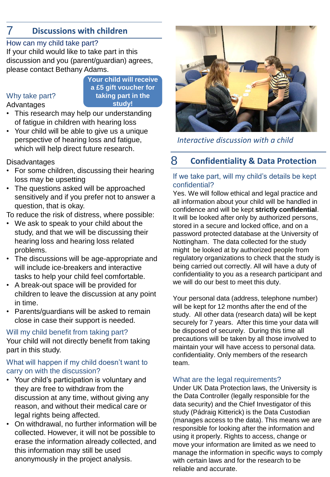# 7 **Discussions with children**

#### How can my child take part?

If your child would like to take part in this discussion and you (parent/guardian) agrees, please contact Bethany Adams.

> **Your child will receive a £5 gift voucher for taking part in the study!**

#### Why take part?

Advantages

• This research may help our understanding of fatigue in children with hearing loss

• Your child will be able to give us a unique perspective of hearing loss and fatigue, which will help direct future research.

**Disadvantages** 

- For some children, discussing their hearing loss may be upsetting
- The questions asked will be approached sensitively and if you prefer not to answer a question, that is okay.

To reduce the risk of distress, where possible:

- We ask to speak to your child about the study, and that we will be discussing their hearing loss and hearing loss related problems.
- The discussions will be age-appropriate and will include ice-breakers and interactive tasks to help your child feel comfortable.
- A break-out space will be provided for children to leave the discussion at any point in time.
- Parents/guardians will be asked to remain close in case their support is needed.

#### Will my child benefit from taking part?

Your child will not directly benefit from taking part in this study.

#### What will happen if my child doesn't want to carry on with the discussion?

- Your child's participation is voluntary and they are free to withdraw from the discussion at any time, without giving any reason, and without their medical care or legal rights being affected.
- On withdrawal, no further information will be collected. However, it will not be possible to erase the information already collected, and this information may still be used anonymously in the project analysis.



*Interactive discussion with a child*

# 8 **Confidentiality & Data Protection**

#### If we take part, will my child's details be kept confidential?

Yes. We will follow ethical and legal practice and all information about your child will be handled in confidence and will be kept **strictly confidential**. It will be looked after only by authorized persons, stored in a secure and locked office, and on a password protected database at the University of Nottingham. The data collected for the study might be looked at by authorized people from regulatory organizations to check that the study is being carried out correctly. All will have a duty of confidentiality to you as a research participant and we will do our best to meet this duty.

Your personal data (address, telephone number) will be kept for 12 months after the end of the study. All other data (research data) will be kept securely for 7 years. After this time your data will be disposed of securely. During this time all precautions will be taken by all those involved to maintain your will have access to personal data. confidentiality. Only members of the research team.

#### What are the legal requirements?

Under UK Data Protection laws, the University is the Data Controller (legally responsible for the data security) and the Chief Investigator of this study (Pádraig Kitterick) is the Data Custodian (manages access to the data). This means we are responsible for looking after the information and using it properly. Rights to access, change or move your information are limited as we need to manage the information in specific ways to comply with certain laws and for the research to be reliable and accurate.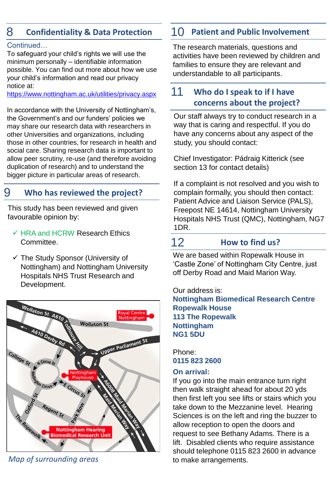# 8 **Confidentiality & Data Protection**

#### Continued…

To safeguard your child's rights we will use the minimum personally – identifiable information possible. You can find out more about how we use your child's information and read our privacy notice at:

<https://www.nottingham.ac.uk/utilities/privacy.aspx>

In accordance with the University of Nottingham's, the Government's and our funders' policies we may share our research data with researchers in other Universities and organizations, including those in other countries, for research in health and social care. Sharing research data is important to allow peer scrutiny, re-use (and therefore avoiding duplication of research) and to understand the bigger picture in particular areas of research.

# 9 **Who has reviewed the project?**

This study has been reviewed and given favourable opinion by:

- $\checkmark$  HRA and HCRW Research Ethics Committee.
- ✓ The Study Sponsor (University of Nottingham) and Nottingham University Hospitals NHS Trust Research and Development.



*Map of surrounding areas* to make arrangements.

# 10 **Patient and Public Involvement**

The research materials, questions and activities have been reviewed by children and families to ensure they are relevant and understandable to all participants.

#### **Who do I speak to if I have concerns about the project?** 11

Our staff always try to conduct research in a way that is caring and respectful. If you do have any concerns about any aspect of the study, you should contact:

Chief Investigator: Pádraig Kitterick (see section 13 for contact details)

If a complaint is not resolved and you wish to complain formally, you should then contact: Patient Advice and Liaison Service (PALS), Freepost NE 14614, Nottingham University Hospitals NHS Trust (QMC), Nottingham, NG7 1DR.

# 12 **How to find us?**

We are based within Ropewalk House in 'Castle Zone' of Nottingham City Centre, just off Derby Road and Maid Marion Way.

Our address is: **Nottingham Biomedical Research Centre Ropewalk House 113 The Ropewalk Nottingham NG1 5DU**

Phone: **0115 823 2600**

#### **On arrival:**

If you go into the main entrance turn right then walk straight ahead for about 20 yds then first left you see lifts or stairs which you take down to the Mezzanine level. Hearing Sciences is on the left and ring the buzzer to allow reception to open the doors and request to see Bethany Adams. There is a lift. Disabled clients who require assistance should telephone 0115 823 2600 in advance